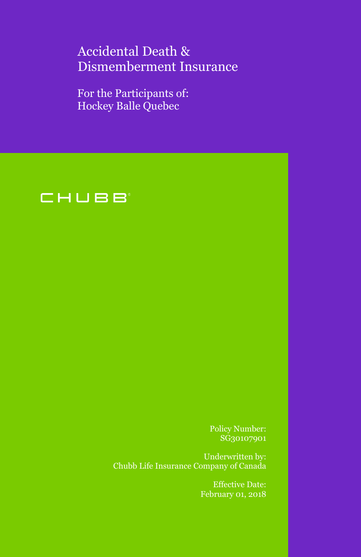# Accidental Death & Dismemberment Insurance

For the Participants of: Hockey Balle Quebec



Policy Number: SG30107901

Underwritten by: Chubb Life Insurance Company of Canada

> Effective Date: February 01, 2018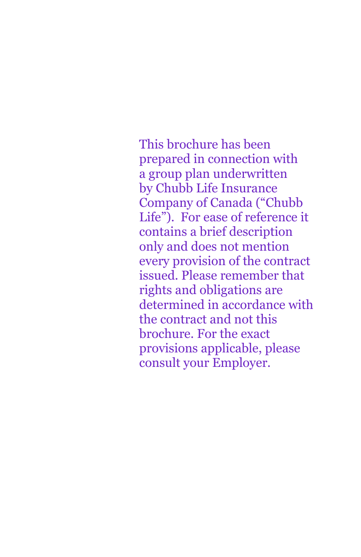This brochure has been prepared in connection with a group plan underwritten by Chubb Life Insurance Company of Canada ("Chubb Life"). For ease of reference it contains a brief description only and does not mention every provision of the contract issued. Please remember that rights and obligations are determined in accordance with the contract and not this brochure. For the exact provisions applicable, please consult your Employer.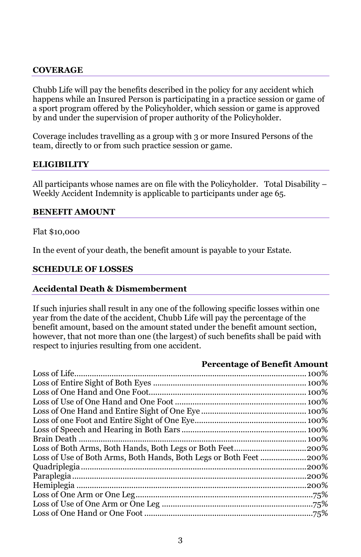#### **COVERAGE**

Chubb Life will pay the benefits described in the policy for any accident which happens while an Insured Person is participating in a practice session or game of a sport program offered by the Policyholder, which session or game is approved by and under the supervision of proper authority of the Policyholder.

 team, directly to or from such practice session or game. Coverage includes travelling as a group with 3 or more Insured Persons of the

#### **ELIGIBILITY**

 All participants whose names are on file with the Policyholder. Total Disability – Weekly Accident Indemnity is applicable to participants under age 65.

#### **BENEFIT AMOUNT**

#### Flat \$10,000

In the event of your death, the benefit amount is payable to your Estate.

#### **SCHEDULE OF LOSSES**

#### **Accidental Death & Dismemberment**

 If such injuries shall result in any one of the following specific losses within one year from the date of the accident, Chubb Life will pay the percentage of the benefit amount, based on the amount stated under the benefit amount section, however, that not more than one (the largest) of such benefits shall be paid with respect to injuries resulting from one accident.

#### **Percentage of Benefit Amount**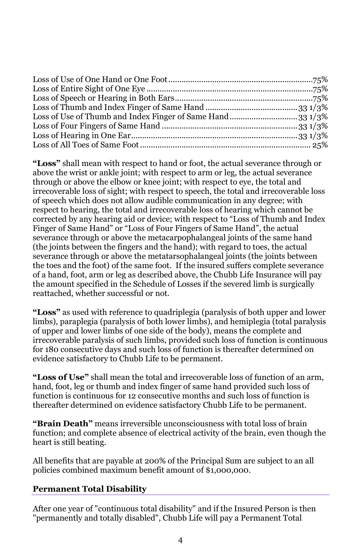through or above the elbow or knee joint; with respect to eye, the total and Finger of Same Hand" or "Loss of Four Fingers of Same Hand", the actual of a hand, foot, arm or leg as described above, the Chubb Life Insurance will pay **"Loss"** shall mean with respect to hand or foot, the actual severance through or above the wrist or ankle joint; with respect to arm or leg, the actual severance irrecoverable loss of sight; with respect to speech, the total and irrecoverable loss of speech which does not allow audible communication in any degree; with respect to hearing, the total and irrecoverable loss of hearing which cannot be corrected by any hearing aid or device; with respect to "Loss of Thumb and Index severance through or above the metacarpophalangeal joints of the same hand (the joints between the fingers and the hand); with regard to toes, the actual severance through or above the metatarsophalangeal joints (the joints between the toes and the foot) of the same foot. If the insured suffers complete severance the amount specified in the Schedule of Losses if the severed limb is surgically reattached, whether successful or not.

 of upper and lower limbs of one side of the body), means the complete and irrecoverable paralysis of such limbs, provided such loss of function is continuous for 180 consecutive days and such loss of function is thereafter determined on **"Loss"** as used with reference to quadriplegia (paralysis of both upper and lower limbs), paraplegia (paralysis of both lower limbs), and hemiplegia (total paralysis evidence satisfactory to Chubb Life to be permanent.

 function is continuous for 12 consecutive months and such loss of function is **"Loss of Use"** shall mean the total and irrecoverable loss of function of an arm, hand, foot, leg or thumb and index finger of same hand provided such loss of thereafter determined on evidence satisfactory Chubb Life to be permanent.

**"Brain Death"** means irreversible unconsciousness with total loss of brain function; and complete absence of electrical activity of the brain, even though the heart is still beating.

All benefits that are payable at 200% of the Principal Sum are subject to an all policies combined maximum benefit amount of \$1,000,000.

# **Permanent Total Disability**

After one year of "continuous total disability" and if the Insured Person is then "permanently and totally disabled", Chubb Life will pay a Permanent Total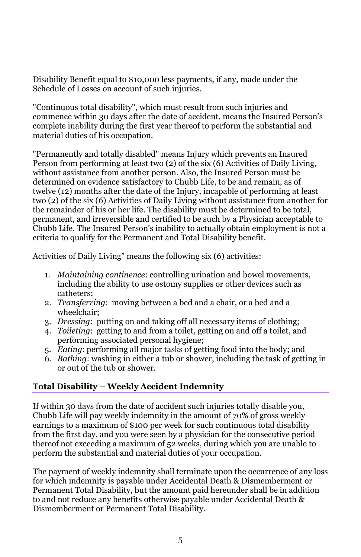Schedule of Losses on account of such injuries. Disability Benefit equal to \$10,000 less payments, if any, made under the

 commence within 30 days after the date of accident, means the Insured Person's "Continuous total disability", which must result from such injuries and complete inability during the first year thereof to perform the substantial and material duties of his occupation.

 without assistance from another person. Also, the Insured Person must be two (2) of the six (6) Activities of Daily Living without assistance from another for Chubb Life. The Insured Person's inability to actually obtain employment is not a "Permanently and totally disabled" means Injury which prevents an Insured Person from performing at least two (2) of the six (6) Activities of Daily Living, determined on evidence satisfactory to Chubb Life, to be and remain, as of twelve (12) months after the date of the Injury, incapable of performing at least the remainder of his or her life. The disability must be determined to be total, permanent, and irreversible and certified to be such by a Physician acceptable to criteria to qualify for the Permanent and Total Disability benefit.

Activities of Daily Living" means the following six (6) activities:

- including the ability to use ostomy supplies or other devices such as 1. *Maintaining continence*: controlling urination and bowel movements, catheters;
- 2. *Transferring*: moving between a bed and a chair, or a bed and a wheelchair;
- 3. *Dressing*: putting on and taking off all necessary items of clothing;
- 4. *Toileting*: getting to and from a toilet, getting on and off a toilet, and performing associated personal hygiene;
- 5. *Eating*: performing all major tasks of getting food into the body; and
- 6. *Bathing*: washing in either a tub or shower, including the task of getting in or out of the tub or shower.

# **Total Disability – Weekly Accident Indemnity**

If within 30 days from the date of accident such injuries totally disable you, Chubb Life will pay weekly indemnity in the amount of 70% of gross weekly earnings to a maximum of \$100 per week for such continuous total disability from the first day, and you were seen by a physician for the consecutive period thereof not exceeding a maximum of 52 weeks, during which you are unable to perform the substantial and material duties of your occupation.

The payment of weekly indemnity shall terminate upon the occurrence of any loss for which indemnity is payable under Accidental Death & Dismemberment or Permanent Total Disability, but the amount paid hereunder shall be in addition to and not reduce any benefits otherwise payable under Accidental Death & Dismemberment or Permanent Total Disability.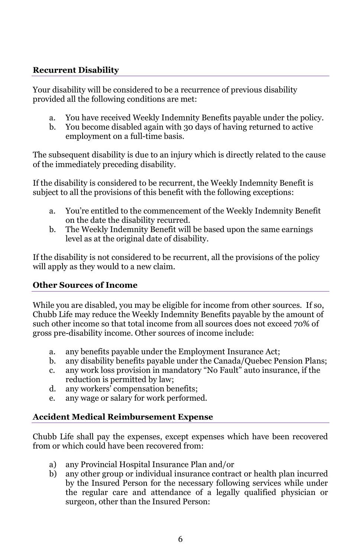## **Recurrent Disability**

Your disability will be considered to be a recurrence of previous disability provided all the following conditions are met:

- a. You have received Weekly Indemnity Benefits payable under the policy.
- b. You become disabled again with 30 days of having returned to active employment on a full-time basis.

The subsequent disability is due to an injury which is directly related to the cause of the immediately preceding disability.

If the disability is considered to be recurrent, the Weekly Indemnity Benefit is subject to all the provisions of this benefit with the following exceptions:

- a. You're entitled to the commencement of the Weekly Indemnity Benefit on the date the disability recurred.
- b. The Weekly Indemnity Benefit will be based upon the same earnings level as at the original date of disability.

If the disability is not considered to be recurrent, all the provisions of the policy will apply as they would to a new claim.

## **Other Sources of Income**

 Chubb Life may reduce the Weekly Indemnity Benefits payable by the amount of While you are disabled, you may be eligible for income from other sources. If so, such other income so that total income from all sources does not exceed 70% of gross pre-disability income. Other sources of income include:

- a. any benefits payable under the Employment Insurance Act;
- b. any disability benefits payable under the Canada/Quebec Pension Plans;
- c. any work loss provision in mandatory "No Fault" auto insurance, if the reduction is permitted by law;
- d. any workers' compensation benefits;
- e. any wage or salary for work performed.

# **Accident Medical Reimbursement Expense**

Chubb Life shall pay the expenses, except expenses which have been recovered from or which could have been recovered from:

- a) any Provincial Hospital Insurance Plan and/or
- b) any other group or individual insurance contract or health plan incurred by the Insured Person for the necessary following services while under the regular care and attendance of a legally qualified physician or surgeon, other than the Insured Person: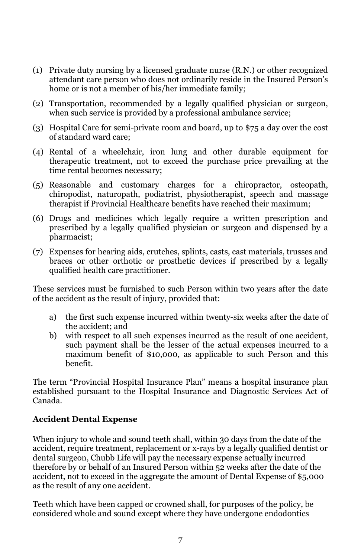- (1) Private duty nursing by a licensed graduate nurse (R.N.) or other recognized attendant care person who does not ordinarily reside in the Insured Person's home or is not a member of his/her immediate family;
- (2) Transportation, recommended by a legally qualified physician or surgeon, when such service is provided by a professional ambulance service;
- (3) Hospital Care for semi-private room and board, up to \$75 a day over the cost of standard ward care;
- (4) Rental of a wheelchair, iron lung and other durable equipment for therapeutic treatment, not to exceed the purchase price prevailing at the time rental becomes necessary;
- (5) Reasonable and customary charges for a chiropractor, osteopath, chiropodist, naturopath, podiatrist, physiotherapist, speech and massage therapist if Provincial Healthcare benefits have reached their maximum;
- (6) Drugs and medicines which legally require a written prescription and prescribed by a legally qualified physician or surgeon and dispensed by a pharmacist;
- (7) Expenses for hearing aids, crutches, splints, casts, cast materials, trusses and braces or other orthotic or prosthetic devices if prescribed by a legally qualified health care practitioner.

These services must be furnished to such Person within two years after the date of the accident as the result of injury, provided that:

- a) the first such expense incurred within twenty-six weeks after the date of the accident; and
- b) with respect to all such expenses incurred as the result of one accident, such payment shall be the lesser of the actual expenses incurred to a maximum benefit of \$10,000, as applicable to such Person and this benefit.

The term "Provincial Hospital Insurance Plan" means a hospital insurance plan established pursuant to the Hospital Insurance and Diagnostic Services Act of Canada.

## **Accident Dental Expense**

 accident, not to exceed in the aggregate the amount of Dental Expense of \$5,000 as the result of any one accident. When injury to whole and sound teeth shall, within 30 days from the date of the accident, require treatment, replacement or x-rays by a legally qualified dentist or dental surgeon, Chubb Life will pay the necessary expense actually incurred therefore by or behalf of an Insured Person within 52 weeks after the date of the

Teeth which have been capped or crowned shall, for purposes of the policy, be considered whole and sound except where they have undergone endodontics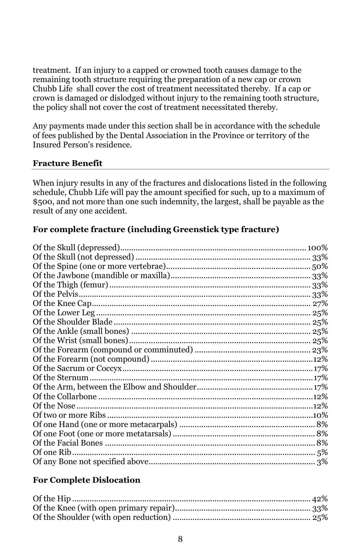treatment. If an injury to a capped or crowned tooth causes damage to the remaining tooth structure requiring the preparation of a new cap or crown Chubb Life shall cover the cost of treatment necessitated thereby. If a cap or crown is damaged or dislodged without injury to the remaining tooth structure, the policy shall not cover the cost of treatment necessitated thereby.

Any payments made under this section shall be in accordance with the schedule of fees published by the Dental Association in the Province or territory of the Insured Person's residence.

## **Fracture Benefit**

When injury results in any of the fractures and dislocations listed in the following schedule, Chubb Life will pay the amount specified for such, up to a maximum of \$500, and not more than one such indemnity, the largest, shall be payable as the result of any one accident.

# **For complete fracture (including Greenstick type fracture)**

## **For Complete Dislocation**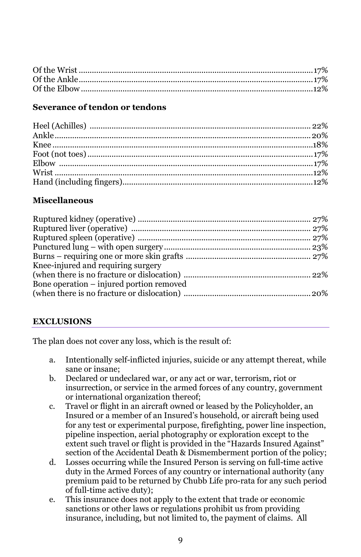## **Severance of tendon or tendons**

## **Miscellaneous**

| Knee-injured and requiring surgery       |  |
|------------------------------------------|--|
|                                          |  |
| Bone operation – injured portion removed |  |
|                                          |  |
|                                          |  |

## **EXCLUSIONS**

The plan does not cover any loss, which is the result of:

- a. Intentionally self-inflicted injuries, suicide or any attempt thereat, while sane or insane;
- b. Declared or undeclared war, or any act or war, terrorism, riot or or international organization thereof; insurrection, or service in the armed forces of any country, government
- c. Travel or flight in an aircraft owned or leased by the Policyholder, an Insured or a member of an Insured's household, or aircraft being used for any test or experimental purpose, firefighting, power line inspection, pipeline inspection, aerial photography or exploration except to the extent such travel or flight is provided in the "Hazards Insured Against" section of the Accidental Death & Dismemberment portion of the policy;
- d. Losses occurring while the Insured Person is serving on full-time active duty in the Armed Forces of any country or international authority (any premium paid to be returned by Chubb Life pro-rata for any such period of full-time active duty);
- insurance, including, but not limited to, the payment of claims. All e. This insurance does not apply to the extent that trade or economic sanctions or other laws or regulations prohibit us from providing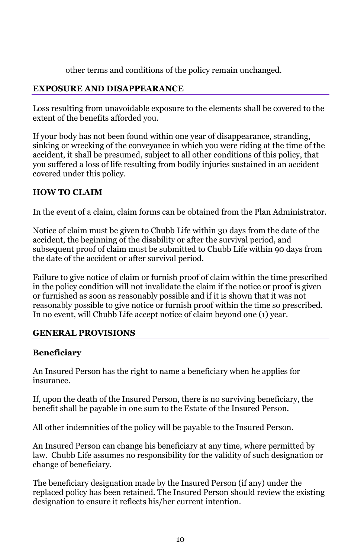other terms and conditions of the policy remain unchanged.

## **EXPOSURE AND DISAPPEARANCE**

Loss resulting from unavoidable exposure to the elements shall be covered to the extent of the benefits afforded you.

If your body has not been found within one year of disappearance, stranding, sinking or wrecking of the conveyance in which you were riding at the time of the accident, it shall be presumed, subject to all other conditions of this policy, that you suffered a loss of life resulting from bodily injuries sustained in an accident covered under this policy.

# **HOW TO CLAIM**

In the event of a claim, claim forms can be obtained from the Plan Administrator.

Notice of claim must be given to Chubb Life within 30 days from the date of the accident, the beginning of the disability or after the survival period, and subsequent proof of claim must be submitted to Chubb Life within 90 days from the date of the accident or after survival period.

 In no event, will Chubb Life accept notice of claim beyond one (1) year. Failure to give notice of claim or furnish proof of claim within the time prescribed in the policy condition will not invalidate the claim if the notice or proof is given or furnished as soon as reasonably possible and if it is shown that it was not reasonably possible to give notice or furnish proof within the time so prescribed.

## **GENERAL PROVISIONS**

# **Beneficiary**

An Insured Person has the right to name a beneficiary when he applies for insurance.

If, upon the death of the Insured Person, there is no surviving beneficiary, the benefit shall be payable in one sum to the Estate of the Insured Person.

All other indemnities of the policy will be payable to the Insured Person.

 law. Chubb Life assumes no responsibility for the validity of such designation or An Insured Person can change his beneficiary at any time, where permitted by change of beneficiary.

The beneficiary designation made by the Insured Person (if any) under the replaced policy has been retained. The Insured Person should review the existing designation to ensure it reflects his/her current intention.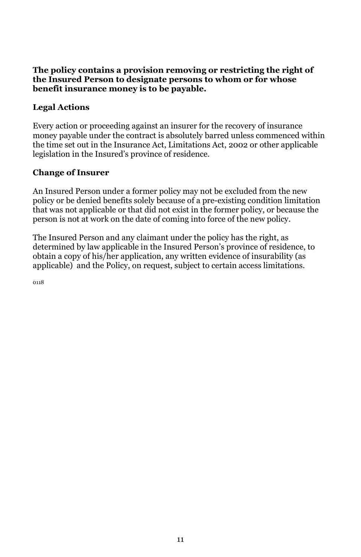#### **The policy contains a provision removing or restricting the right of the Insured Person to designate persons to whom or for whose benefit insurance money is to be payable.**

# **Legal Actions**

 legislation in the Insured's province of residence. Every action or proceeding against an insurer for the recovery of insurance money payable under the contract is absolutely barred unless commenced within the time set out in the Insurance Act, Limitations Act, 2002 or other applicable

# **Change of Insurer**

An Insured Person under a former policy may not be excluded from the new policy or be denied benefits solely because of a pre-existing condition limitation that was not applicable or that did not exist in the former policy, or because the person is not at work on the date of coming into force of the new policy.

The Insured Person and any claimant under the policy has the right, as determined by law applicable in the Insured Person's province of residence, to obtain a copy of his/her application, any written evidence of insurability (as applicable) and the Policy, on request, subject to certain access limitations.

0118